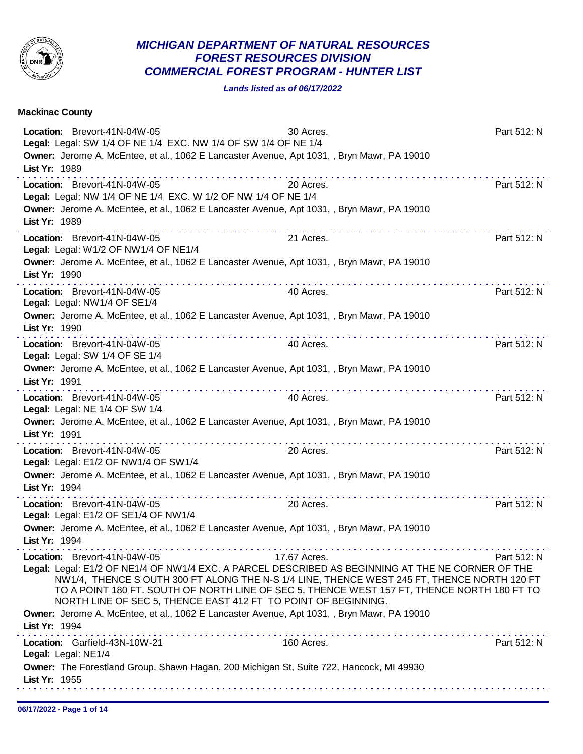

## *MICHIGAN DEPARTMENT OF NATURAL RESOURCES FOREST RESOURCES DIVISION COMMERCIAL FOREST PROGRAM - HUNTER LIST*

*Lands listed as of 06/17/2022*

| <b>Mackinac County</b>                                                                                                                                                                                                                                                                                                                                                                                                                                                                         |              |             |
|------------------------------------------------------------------------------------------------------------------------------------------------------------------------------------------------------------------------------------------------------------------------------------------------------------------------------------------------------------------------------------------------------------------------------------------------------------------------------------------------|--------------|-------------|
| Location: Brevort-41N-04W-05<br>Legal: Legal: SW 1/4 OF NE 1/4 EXC. NW 1/4 OF SW 1/4 OF NE 1/4<br>Owner: Jerome A. McEntee, et al., 1062 E Lancaster Avenue, Apt 1031, , Bryn Mawr, PA 19010<br>List Yr: 1989                                                                                                                                                                                                                                                                                  | 30 Acres.    | Part 512: N |
| Location: Brevort-41N-04W-05<br>Legal: Legal: NW 1/4 OF NE 1/4 EXC. W 1/2 OF NW 1/4 OF NE 1/4<br>Owner: Jerome A. McEntee, et al., 1062 E Lancaster Avenue, Apt 1031, , Bryn Mawr, PA 19010<br>List Yr: 1989                                                                                                                                                                                                                                                                                   | 20 Acres.    | Part 512: N |
| Location: Brevort-41N-04W-05<br>Legal: Legal: W1/2 OF NW1/4 OF NE1/4<br>Owner: Jerome A. McEntee, et al., 1062 E Lancaster Avenue, Apt 1031, , Bryn Mawr, PA 19010<br>List Yr: 1990                                                                                                                                                                                                                                                                                                            | 21 Acres.    | Part 512: N |
| Location: Brevort-41N-04W-05<br>Legal: Legal: NW1/4 OF SE1/4<br>Owner: Jerome A. McEntee, et al., 1062 E Lancaster Avenue, Apt 1031, , Bryn Mawr, PA 19010<br>List Yr: 1990                                                                                                                                                                                                                                                                                                                    | 40 Acres.    | Part 512: N |
| Location: Brevort-41N-04W-05<br>Legal: Legal: SW 1/4 OF SE 1/4<br>Owner: Jerome A. McEntee, et al., 1062 E Lancaster Avenue, Apt 1031, , Bryn Mawr, PA 19010<br>List Yr: 1991                                                                                                                                                                                                                                                                                                                  | 40 Acres.    | Part 512: N |
| Location: Brevort-41N-04W-05<br>Legal: Legal: NE 1/4 OF SW 1/4<br>Owner: Jerome A. McEntee, et al., 1062 E Lancaster Avenue, Apt 1031, , Bryn Mawr, PA 19010<br>List Yr: 1991                                                                                                                                                                                                                                                                                                                  | 40 Acres.    | Part 512: N |
| Location: Brevort-41N-04W-05<br>Legal: Legal: E1/2 OF NW1/4 OF SW1/4<br>Owner: Jerome A. McEntee, et al., 1062 E Lancaster Avenue, Apt 1031, , Bryn Mawr, PA 19010<br>List Yr: 1994                                                                                                                                                                                                                                                                                                            | 20 Acres.    | Part 512: N |
| Location: Brevort-41N-04W-05<br>Legal: Legal: E1/2 OF SE1/4 OF NW1/4<br>Owner: Jerome A. McEntee, et al., 1062 E Lancaster Avenue, Apt 1031, , Bryn Mawr, PA 19010<br>List Yr: 1994                                                                                                                                                                                                                                                                                                            | 20 Acres.    | Part 512: N |
| Location: Brevort-41N-04W-05<br>Legal: Legal: E1/2 OF NE1/4 OF NW1/4 EXC. A PARCEL DESCRIBED AS BEGINNING AT THE NE CORNER OF THE<br>NW1/4, THENCE SOUTH 300 FT ALONG THE N-S 1/4 LINE, THENCE WEST 245 FT, THENCE NORTH 120 FT<br>TO A POINT 180 FT. SOUTH OF NORTH LINE OF SEC 5, THENCE WEST 157 FT, THENCE NORTH 180 FT TO<br>NORTH LINE OF SEC 5, THENCE EAST 412 FT TO POINT OF BEGINNING.<br>Owner: Jerome A. McEntee, et al., 1062 E Lancaster Avenue, Apt 1031, , Bryn Mawr, PA 19010 | 17.67 Acres. | Part 512: N |
| List Yr: 1994<br>Location: Garfield-43N-10W-21<br>Legal: Legal: NE1/4<br>Owner: The Forestland Group, Shawn Hagan, 200 Michigan St, Suite 722, Hancock, MI 49930<br>List Yr: 1955                                                                                                                                                                                                                                                                                                              | 160 Acres.   | Part 512: N |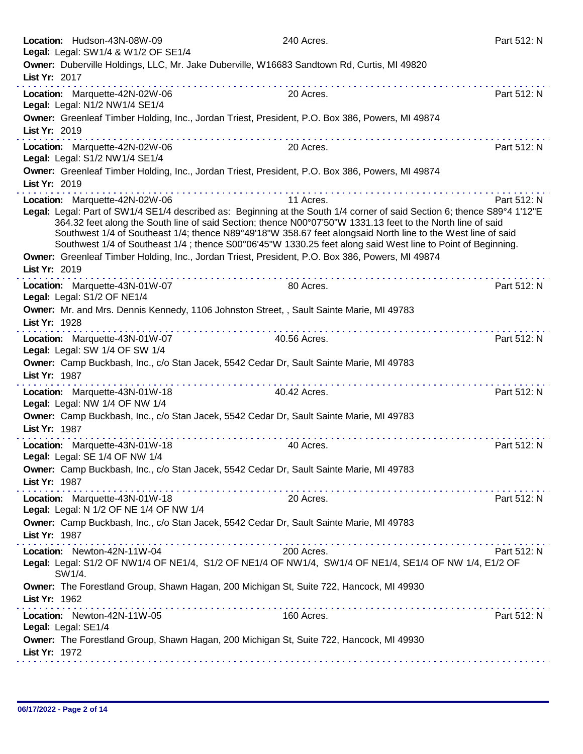| Location: Hudson-43N-08W-09<br>Legal: Legal: SW1/4 & W1/2 OF SE1/4 |                                                                                            | 240 Acres.                                                                                                                                                                                                                                                                                                                                                                                                                                                                                                                                                                | Part 512: N |
|--------------------------------------------------------------------|--------------------------------------------------------------------------------------------|---------------------------------------------------------------------------------------------------------------------------------------------------------------------------------------------------------------------------------------------------------------------------------------------------------------------------------------------------------------------------------------------------------------------------------------------------------------------------------------------------------------------------------------------------------------------------|-------------|
| List Yr: 2017                                                      | Owner: Duberville Holdings, LLC, Mr. Jake Duberville, W16683 Sandtown Rd, Curtis, MI 49820 |                                                                                                                                                                                                                                                                                                                                                                                                                                                                                                                                                                           |             |
| Location: Marquette-42N-02W-06                                     |                                                                                            | dia ara-dia ara-dia ara-dia i<br>20 Acres.                                                                                                                                                                                                                                                                                                                                                                                                                                                                                                                                | Part 512: N |
| Legal: Legal: N1/2 NW1/4 SE1/4<br>List Yr: 2019                    |                                                                                            | Owner: Greenleaf Timber Holding, Inc., Jordan Triest, President, P.O. Box 386, Powers, MI 49874                                                                                                                                                                                                                                                                                                                                                                                                                                                                           |             |
|                                                                    | .                                                                                          |                                                                                                                                                                                                                                                                                                                                                                                                                                                                                                                                                                           |             |
| Location: Marquette-42N-02W-06<br>Legal: Legal: S1/2 NW1/4 SE1/4   |                                                                                            | 20 Acres.                                                                                                                                                                                                                                                                                                                                                                                                                                                                                                                                                                 | Part 512: N |
| List Yr: 2019                                                      |                                                                                            | Owner: Greenleaf Timber Holding, Inc., Jordan Triest, President, P.O. Box 386, Powers, MI 49874                                                                                                                                                                                                                                                                                                                                                                                                                                                                           |             |
| Location: Marquette-42N-02W-06                                     |                                                                                            | 11 Acres.                                                                                                                                                                                                                                                                                                                                                                                                                                                                                                                                                                 | Part 512: N |
| List Yr: 2019                                                      |                                                                                            | Legal: Legal: Part of SW1/4 SE1/4 described as: Beginning at the South 1/4 corner of said Section 6; thence S89°4 1'12"E<br>364.32 feet along the South line of said Section; thence N00°07'50"W 1331.13 feet to the North line of said<br>Southwest 1/4 of Southeast 1/4; thence N89°49'18"W 358.67 feet alongsaid North line to the West line of said<br>Southwest 1/4 of Southeast 1/4; thence S00°06'45"W 1330.25 feet along said West line to Point of Beginning.<br>Owner: Greenleaf Timber Holding, Inc., Jordan Triest, President, P.O. Box 386, Powers, MI 49874 |             |
| Location: Marquette-43N-01W-07<br>Legal: Legal: S1/2 OF NE1/4      |                                                                                            | 80 Acres.                                                                                                                                                                                                                                                                                                                                                                                                                                                                                                                                                                 | Part 512: N |
| List Yr: 1928                                                      | Owner: Mr. and Mrs. Dennis Kennedy, 1106 Johnston Street, , Sault Sainte Marie, MI 49783   | .                                                                                                                                                                                                                                                                                                                                                                                                                                                                                                                                                                         |             |
| Location: Marquette-43N-01W-07<br>Legal: Legal: SW 1/4 OF SW 1/4   |                                                                                            | 40.56 Acres.                                                                                                                                                                                                                                                                                                                                                                                                                                                                                                                                                              | Part 512: N |
| List Yr: 1987                                                      | Owner: Camp Buckbash, Inc., c/o Stan Jacek, 5542 Cedar Dr, Sault Sainte Marie, MI 49783    |                                                                                                                                                                                                                                                                                                                                                                                                                                                                                                                                                                           |             |
| Location: Marquette-43N-01W-18<br>Legal: Legal: NW 1/4 OF NW 1/4   |                                                                                            | 40.42 Acres.                                                                                                                                                                                                                                                                                                                                                                                                                                                                                                                                                              | Part 512: N |
| List Yr: 1987                                                      | Owner: Camp Buckbash, Inc., c/o Stan Jacek, 5542 Cedar Dr, Sault Sainte Marie, MI 49783    |                                                                                                                                                                                                                                                                                                                                                                                                                                                                                                                                                                           |             |
| Location: Marquette-43N-01W-18<br>Legal: Legal: SE 1/4 OF NW 1/4   |                                                                                            | 40 Acres.                                                                                                                                                                                                                                                                                                                                                                                                                                                                                                                                                                 | Part 512: N |
| List Yr: 1987                                                      | Owner: Camp Buckbash, Inc., c/o Stan Jacek, 5542 Cedar Dr, Sault Sainte Marie, MI 49783    |                                                                                                                                                                                                                                                                                                                                                                                                                                                                                                                                                                           |             |
| Location: Marquette-43N-01W-18                                     | Legal: Legal: N 1/2 OF NE 1/4 OF NW 1/4                                                    | 20 Acres.                                                                                                                                                                                                                                                                                                                                                                                                                                                                                                                                                                 | Part 512: N |
| List Yr: 1987                                                      | Owner: Camp Buckbash, Inc., c/o Stan Jacek, 5542 Cedar Dr, Sault Sainte Marie, MI 49783    |                                                                                                                                                                                                                                                                                                                                                                                                                                                                                                                                                                           |             |
| Location: Newton-42N-11W-04                                        |                                                                                            | 200 Acres.<br>Legal: Legal: S1/2 OF NW1/4 OF NE1/4, S1/2 OF NE1/4 OF NW1/4, SW1/4 OF NE1/4, SE1/4 OF NW 1/4, E1/2 OF                                                                                                                                                                                                                                                                                                                                                                                                                                                      | Part 512: N |
| SW1/4.                                                             |                                                                                            |                                                                                                                                                                                                                                                                                                                                                                                                                                                                                                                                                                           |             |
| List Yr: 1962                                                      | Owner: The Forestland Group, Shawn Hagan, 200 Michigan St, Suite 722, Hancock, MI 49930    |                                                                                                                                                                                                                                                                                                                                                                                                                                                                                                                                                                           |             |
| Location: Newton-42N-11W-05<br>Legal: Legal: SE1/4                 |                                                                                            | 160 Acres.                                                                                                                                                                                                                                                                                                                                                                                                                                                                                                                                                                | Part 512: N |
| List Yr: 1972                                                      | Owner: The Forestland Group, Shawn Hagan, 200 Michigan St, Suite 722, Hancock, MI 49930    |                                                                                                                                                                                                                                                                                                                                                                                                                                                                                                                                                                           |             |
|                                                                    |                                                                                            |                                                                                                                                                                                                                                                                                                                                                                                                                                                                                                                                                                           |             |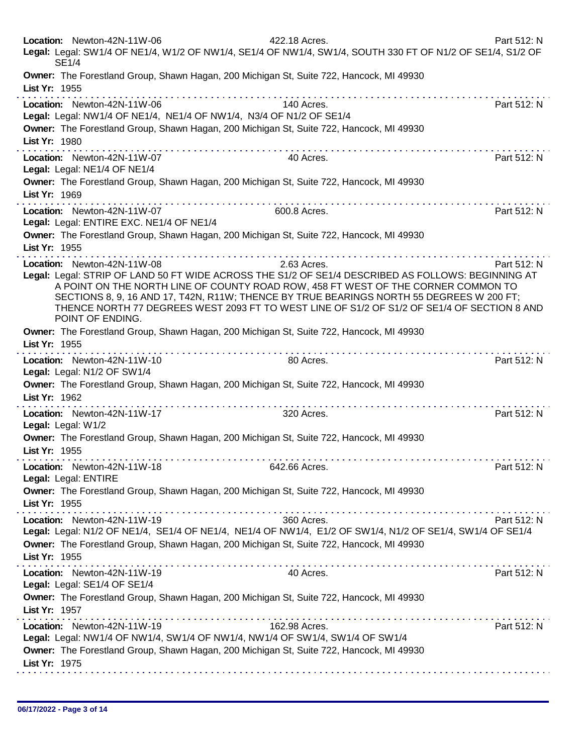|                                     | Location: Newton-42N-11W-06<br><b>SE1/4</b>                                                        | 422.18 Acres.<br>Legal: Legal: SW1/4 OF NE1/4, W1/2 OF NW1/4, SE1/4 OF NW1/4, SW1/4, SOUTH 330 FT OF N1/2 OF SE1/4, S1/2 OF                                                                                                                                                                                                                                                                       | Part 512: N |
|-------------------------------------|----------------------------------------------------------------------------------------------------|---------------------------------------------------------------------------------------------------------------------------------------------------------------------------------------------------------------------------------------------------------------------------------------------------------------------------------------------------------------------------------------------------|-------------|
| List Yr: 1955                       |                                                                                                    | Owner: The Forestland Group, Shawn Hagan, 200 Michigan St, Suite 722, Hancock, MI 49930                                                                                                                                                                                                                                                                                                           |             |
| List Yr: 1980                       | Location: Newton-42N-11W-06<br>Legal: Legal: NW1/4 OF NE1/4, NE1/4 OF NW1/4, N3/4 OF N1/2 OF SE1/4 | 140 Acres.<br>Owner: The Forestland Group, Shawn Hagan, 200 Michigan St, Suite 722, Hancock, MI 49930                                                                                                                                                                                                                                                                                             | Part 512: N |
| List Yr: 1969                       | Location: Newton-42N-11W-07<br>Legal: Legal: NE1/4 OF NE1/4                                        | 40 Acres.<br>Owner: The Forestland Group, Shawn Hagan, 200 Michigan St, Suite 722, Hancock, MI 49930                                                                                                                                                                                                                                                                                              | Part 512: N |
| List Yr: 1955                       | Location: Newton-42N-11W-07<br>Legal: Legal: ENTIRE EXC. NE1/4 OF NE1/4                            | 600.8 Acres.<br>Owner: The Forestland Group, Shawn Hagan, 200 Michigan St, Suite 722, Hancock, MI 49930                                                                                                                                                                                                                                                                                           | Part 512: N |
|                                     | Location: Newton-42N-11W-08<br>POINT OF ENDING.                                                    | 2.63 Acres.<br>Legal: Legal: STRIP OF LAND 50 FT WIDE ACROSS THE S1/2 OF SE1/4 DESCRIBED AS FOLLOWS: BEGINNING AT<br>A POINT ON THE NORTH LINE OF COUNTY ROAD ROW, 458 FT WEST OF THE CORNER COMMON TO<br>SECTIONS 8, 9, 16 AND 17, T42N, R11W; THENCE BY TRUE BEARINGS NORTH 55 DEGREES W 200 FT;<br>THENCE NORTH 77 DEGREES WEST 2093 FT TO WEST LINE OF S1/2 OF S1/2 OF SE1/4 OF SECTION 8 AND | Part 512: N |
| List Yr: 1955                       |                                                                                                    | Owner: The Forestland Group, Shawn Hagan, 200 Michigan St, Suite 722, Hancock, MI 49930                                                                                                                                                                                                                                                                                                           |             |
| List Yr: 1962                       | Location: Newton-42N-11W-10<br>Legal: Legal: N1/2 OF SW1/4                                         | 80 Acres.<br>Owner: The Forestland Group, Shawn Hagan, 200 Michigan St, Suite 722, Hancock, MI 49930                                                                                                                                                                                                                                                                                              | Part 512: N |
| Legal: Legal: W1/2<br>List Yr: 1955 | . <b>.</b><br>Location: Newton-42N-11W-17                                                          | 320 Acres.<br>Owner: The Forestland Group, Shawn Hagan, 200 Michigan St, Suite 722, Hancock, MI 49930                                                                                                                                                                                                                                                                                             | Part 512: N |
| List Yr: 1955                       | Location: Newton-42N-11W-18<br>Legal: Legal: ENTIRE                                                | 642.66 Acres.<br>Owner: The Forestland Group, Shawn Hagan, 200 Michigan St, Suite 722, Hancock, MI 49930                                                                                                                                                                                                                                                                                          | Part 512: N |
| List Yr: 1955                       | Location: Newton-42N-11W-19                                                                        | 360 Acres.<br>Legal: Legal: N1/2 OF NE1/4, SE1/4 OF NE1/4, NE1/4 OF NW1/4, E1/2 OF SW1/4, N1/2 OF SE1/4, SW1/4 OF SE1/4<br>Owner: The Forestland Group, Shawn Hagan, 200 Michigan St, Suite 722, Hancock, MI 49930                                                                                                                                                                                | Part 512: N |
| List Yr: 1957                       | Location: Newton-42N-11W-19<br>Legal: Legal: SE1/4 OF SE1/4                                        | 40 Acres.<br>Owner: The Forestland Group, Shawn Hagan, 200 Michigan St, Suite 722, Hancock, MI 49930                                                                                                                                                                                                                                                                                              | Part 512: N |
| List Yr: 1975                       | Location: Newton-42N-11W-19                                                                        | 162.98 Acres.<br>Legal: Legal: NW1/4 OF NW1/4, SW1/4 OF NW1/4, NW1/4 OF SW1/4, SW1/4 OF SW1/4<br>Owner: The Forestland Group, Shawn Hagan, 200 Michigan St, Suite 722, Hancock, MI 49930                                                                                                                                                                                                          | Part 512: N |
|                                     |                                                                                                    |                                                                                                                                                                                                                                                                                                                                                                                                   |             |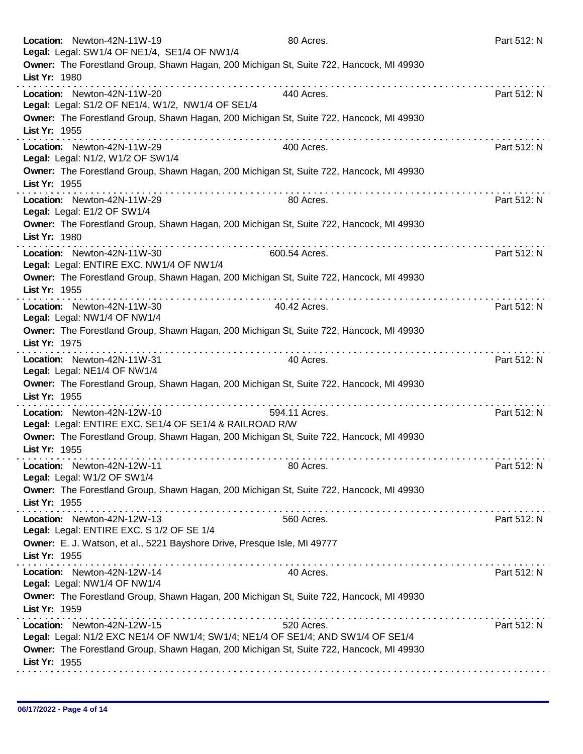| Location: Newton-42N-11W-19<br>Legal: Legal: SW1/4 OF NE1/4, SE1/4 OF NW1/4                                                                                                                                                                                                                                                                                                                                                                                                                                                                                              | 80 Acres.     | Part 512: N |
|--------------------------------------------------------------------------------------------------------------------------------------------------------------------------------------------------------------------------------------------------------------------------------------------------------------------------------------------------------------------------------------------------------------------------------------------------------------------------------------------------------------------------------------------------------------------------|---------------|-------------|
| Owner: The Forestland Group, Shawn Hagan, 200 Michigan St, Suite 722, Hancock, MI 49930<br>List Yr: 1980                                                                                                                                                                                                                                                                                                                                                                                                                                                                 |               |             |
| Location: Newton-42N-11W-20<br>Legal: Legal: S1/2 OF NE1/4, W1/2, NW1/4 OF SE1/4                                                                                                                                                                                                                                                                                                                                                                                                                                                                                         | 440 Acres.    | Part 512: N |
| Owner: The Forestland Group, Shawn Hagan, 200 Michigan St, Suite 722, Hancock, MI 49930<br>List Yr: 1955<br>$\mathcal{L}^{\mathcal{A}}(\mathcal{A},\mathcal{A},\mathcal{A},\mathcal{A},\mathcal{A},\mathcal{A},\mathcal{A},\mathcal{A},\mathcal{A},\mathcal{A},\mathcal{A},\mathcal{A},\mathcal{A},\mathcal{A},\mathcal{A},\mathcal{A},\mathcal{A},\mathcal{A},\mathcal{A},\mathcal{A},\mathcal{A},\mathcal{A},\mathcal{A},\mathcal{A},\mathcal{A},\mathcal{A},\mathcal{A},\mathcal{A},\mathcal{A},\mathcal{A},\mathcal{A},\mathcal{A},\mathcal{A},\mathcal{A},\mathcal$ |               |             |
| Location: Newton-42N-11W-29<br>Legal: Legal: N1/2, W1/2 OF SW1/4                                                                                                                                                                                                                                                                                                                                                                                                                                                                                                         | 400 Acres.    | Part 512: N |
| Owner: The Forestland Group, Shawn Hagan, 200 Michigan St, Suite 722, Hancock, MI 49930<br>List Yr: 1955                                                                                                                                                                                                                                                                                                                                                                                                                                                                 | .             |             |
| Location: Newton-42N-11W-29<br>Legal: Legal: E1/2 OF SW1/4                                                                                                                                                                                                                                                                                                                                                                                                                                                                                                               | 80 Acres.     | Part 512: N |
| Owner: The Forestland Group, Shawn Hagan, 200 Michigan St, Suite 722, Hancock, MI 49930<br>List Yr: 1980<br>.                                                                                                                                                                                                                                                                                                                                                                                                                                                            |               |             |
| Location: Newton-42N-11W-30<br>Legal: Legal: ENTIRE EXC. NW1/4 OF NW1/4                                                                                                                                                                                                                                                                                                                                                                                                                                                                                                  | 600.54 Acres. | Part 512: N |
| Owner: The Forestland Group, Shawn Hagan, 200 Michigan St, Suite 722, Hancock, MI 49930<br>List Yr: 1955                                                                                                                                                                                                                                                                                                                                                                                                                                                                 |               |             |
| Location: Newton-42N-11W-30<br>Legal: Legal: NW1/4 OF NW1/4                                                                                                                                                                                                                                                                                                                                                                                                                                                                                                              | 40.42 Acres.  | Part 512: N |
| Owner: The Forestland Group, Shawn Hagan, 200 Michigan St, Suite 722, Hancock, MI 49930<br>List Yr: 1975                                                                                                                                                                                                                                                                                                                                                                                                                                                                 |               |             |
| Location: Newton-42N-11W-31<br>Legal: Legal: NE1/4 OF NW1/4                                                                                                                                                                                                                                                                                                                                                                                                                                                                                                              | 40 Acres.     | Part 512: N |
| Owner: The Forestland Group, Shawn Hagan, 200 Michigan St, Suite 722, Hancock, MI 49930<br>List Yr: 1955                                                                                                                                                                                                                                                                                                                                                                                                                                                                 |               |             |
| Location: Newton-42N-12W-10<br>Legal: Legal: ENTIRE EXC. SE1/4 OF SE1/4 & RAILROAD R/W                                                                                                                                                                                                                                                                                                                                                                                                                                                                                   | 594.11 Acres. | Part 512: N |
| Owner: The Forestland Group, Shawn Hagan, 200 Michigan St, Suite 722, Hancock, MI 49930<br>List Yr: 1955                                                                                                                                                                                                                                                                                                                                                                                                                                                                 |               |             |
| Location: Newton-42N-12W-11<br>Legal: Legal: W1/2 OF SW1/4                                                                                                                                                                                                                                                                                                                                                                                                                                                                                                               | 80 Acres.     | Part 512: N |
| Owner: The Forestland Group, Shawn Hagan, 200 Michigan St, Suite 722, Hancock, MI 49930<br>List Yr: 1955                                                                                                                                                                                                                                                                                                                                                                                                                                                                 |               |             |
| Location: Newton-42N-12W-13<br>Legal: Legal: ENTIRE EXC. S 1/2 OF SE 1/4                                                                                                                                                                                                                                                                                                                                                                                                                                                                                                 | 560 Acres.    | Part 512: N |
| Owner: E. J. Watson, et al., 5221 Bayshore Drive, Presque Isle, MI 49777<br>List Yr: 1955                                                                                                                                                                                                                                                                                                                                                                                                                                                                                |               |             |
| Location: Newton-42N-12W-14<br>Legal: Legal: NW1/4 OF NW1/4                                                                                                                                                                                                                                                                                                                                                                                                                                                                                                              | 40 Acres.     | Part 512: N |
| Owner: The Forestland Group, Shawn Hagan, 200 Michigan St, Suite 722, Hancock, MI 49930<br>List Yr: 1959                                                                                                                                                                                                                                                                                                                                                                                                                                                                 |               |             |
| Location: Newton-42N-12W-15<br>Legal: Legal: N1/2 EXC NE1/4 OF NW1/4; SW1/4; NE1/4 OF SE1/4; AND SW1/4 OF SE1/4                                                                                                                                                                                                                                                                                                                                                                                                                                                          | 520 Acres.    | Part 512: N |
| Owner: The Forestland Group, Shawn Hagan, 200 Michigan St, Suite 722, Hancock, MI 49930<br>List Yr: 1955                                                                                                                                                                                                                                                                                                                                                                                                                                                                 |               |             |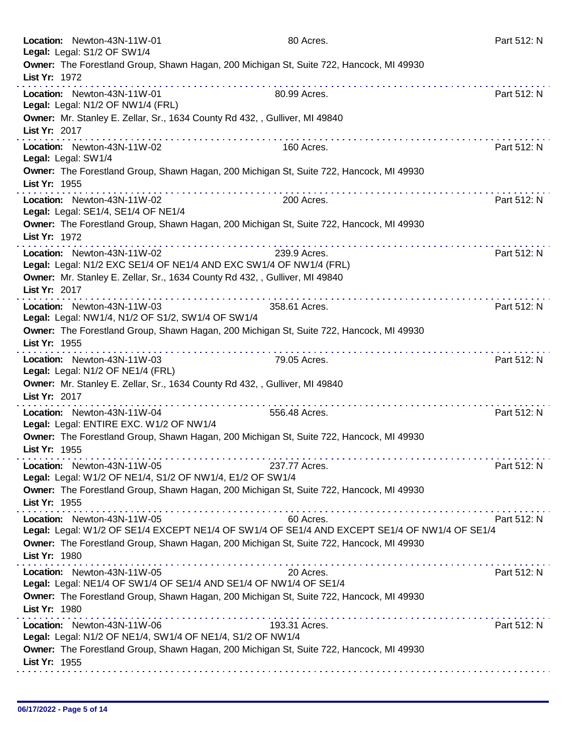|               | Location: Newton-43N-11W-01<br>Legal: Legal: S1/2 OF SW1/4                                        | 80 Acres.                                                                                                                                                                                                                                                                                                                                                                                                                                                  | Part 512: N |
|---------------|---------------------------------------------------------------------------------------------------|------------------------------------------------------------------------------------------------------------------------------------------------------------------------------------------------------------------------------------------------------------------------------------------------------------------------------------------------------------------------------------------------------------------------------------------------------------|-------------|
| List Yr: 1972 | Owner: The Forestland Group, Shawn Hagan, 200 Michigan St, Suite 722, Hancock, MI 49930           |                                                                                                                                                                                                                                                                                                                                                                                                                                                            |             |
|               | Location: Newton-43N-11W-01<br>Legal: Legal: N1/2 OF NW1/4 (FRL)                                  | 80.99 Acres.                                                                                                                                                                                                                                                                                                                                                                                                                                               | Part 512: N |
| List Yr: 2017 | Owner: Mr. Stanley E. Zellar, Sr., 1634 County Rd 432, , Gulliver, MI 49840                       |                                                                                                                                                                                                                                                                                                                                                                                                                                                            |             |
|               | Location: Newton-43N-11W-02<br>Legal: Legal: SW1/4                                                | 160 Acres.                                                                                                                                                                                                                                                                                                                                                                                                                                                 | Part 512: N |
| List Yr: 1955 | Owner: The Forestland Group, Shawn Hagan, 200 Michigan St, Suite 722, Hancock, MI 49930           |                                                                                                                                                                                                                                                                                                                                                                                                                                                            |             |
|               | .<br>Location: Newton-43N-11W-02<br>Legal: Legal: SE1/4, SE1/4 OF NE1/4                           | 200 Acres.                                                                                                                                                                                                                                                                                                                                                                                                                                                 | Part 512: N |
| List Yr: 1972 | Owner: The Forestland Group, Shawn Hagan, 200 Michigan St, Suite 722, Hancock, MI 49930           |                                                                                                                                                                                                                                                                                                                                                                                                                                                            |             |
|               | Location: Newton-43N-11W-02<br>Legal: Legal: N1/2 EXC SE1/4 OF NE1/4 AND EXC SW1/4 OF NW1/4 (FRL) | 239.9 Acres.                                                                                                                                                                                                                                                                                                                                                                                                                                               | Part 512: N |
| List Yr: 2017 | Owner: Mr. Stanley E. Zellar, Sr., 1634 County Rd 432, , Gulliver, MI 49840                       | $\mathbf{a}^{\mathsf{T}} \mathbf{a}^{\mathsf{T}} \mathbf{a}^{\mathsf{T}} \mathbf{a}^{\mathsf{T}} \mathbf{a}^{\mathsf{T}} \mathbf{a}^{\mathsf{T}} \mathbf{a}^{\mathsf{T}} \mathbf{a}^{\mathsf{T}} \mathbf{a}^{\mathsf{T}} \mathbf{a}^{\mathsf{T}} \mathbf{a}^{\mathsf{T}} \mathbf{a}^{\mathsf{T}} \mathbf{a}^{\mathsf{T}} \mathbf{a}^{\mathsf{T}} \mathbf{a}^{\mathsf{T}} \mathbf{a}^{\mathsf{T}} \mathbf{a}^{\mathsf{T}} \mathbf{a}^{\mathsf{T}} \mathbf{$ |             |
|               | Location: Newton-43N-11W-03<br>Legal: Legal: NW1/4, N1/2 OF S1/2, SW1/4 OF SW1/4                  | 358.61 Acres.                                                                                                                                                                                                                                                                                                                                                                                                                                              | Part 512: N |
| List Yr: 1955 | Owner: The Forestland Group, Shawn Hagan, 200 Michigan St, Suite 722, Hancock, MI 49930           |                                                                                                                                                                                                                                                                                                                                                                                                                                                            |             |
|               | Location: Newton-43N-11W-03<br>Legal: Legal: N1/2 OF NE1/4 (FRL)                                  | 79.05 Acres.                                                                                                                                                                                                                                                                                                                                                                                                                                               | Part 512: N |
| List Yr: 2017 | Owner: Mr. Stanley E. Zellar, Sr., 1634 County Rd 432, , Gulliver, MI 49840<br>.                  |                                                                                                                                                                                                                                                                                                                                                                                                                                                            |             |
|               | Location: Newton-43N-11W-04<br>Legal: Legal: ENTIRE EXC. W1/2 OF NW1/4                            | 556.48 Acres.                                                                                                                                                                                                                                                                                                                                                                                                                                              | Part 512: N |
| List Yr: 1955 | Owner: The Forestland Group, Shawn Hagan, 200 Michigan St, Suite 722, Hancock, MI 49930           |                                                                                                                                                                                                                                                                                                                                                                                                                                                            |             |
|               | Location: Newton-43N-11W-05<br>Legal: Legal: W1/2 OF NE1/4, S1/2 OF NW1/4, E1/2 OF SW1/4          | 237.77 Acres.                                                                                                                                                                                                                                                                                                                                                                                                                                              | Part 512: N |
| List Yr: 1955 | Owner: The Forestland Group, Shawn Hagan, 200 Michigan St, Suite 722, Hancock, MI 49930           |                                                                                                                                                                                                                                                                                                                                                                                                                                                            |             |
|               | Location: Newton-43N-11W-05                                                                       | 60 Acres.<br>Legal: Legal: W1/2 OF SE1/4 EXCEPT NE1/4 OF SW1/4 OF SE1/4 AND EXCEPT SE1/4 OF NW1/4 OF SE1/4                                                                                                                                                                                                                                                                                                                                                 | Part 512: N |
| List Yr: 1980 | Owner: The Forestland Group, Shawn Hagan, 200 Michigan St, Suite 722, Hancock, MI 49930           |                                                                                                                                                                                                                                                                                                                                                                                                                                                            |             |
|               | Location: Newton-43N-11W-05<br>Legal: Legal: NE1/4 OF SW1/4 OF SE1/4 AND SE1/4 OF NW1/4 OF SE1/4  | 20 Acres.                                                                                                                                                                                                                                                                                                                                                                                                                                                  | Part 512: N |
| List Yr: 1980 | Owner: The Forestland Group, Shawn Hagan, 200 Michigan St, Suite 722, Hancock, MI 49930           |                                                                                                                                                                                                                                                                                                                                                                                                                                                            |             |
|               | Location: Newton-43N-11W-06<br>Legal: Legal: N1/2 OF NE1/4, SW1/4 OF NE1/4, S1/2 OF NW1/4         | 193.31 Acres.                                                                                                                                                                                                                                                                                                                                                                                                                                              | Part 512: N |
| List Yr: 1955 | Owner: The Forestland Group, Shawn Hagan, 200 Michigan St, Suite 722, Hancock, MI 49930           |                                                                                                                                                                                                                                                                                                                                                                                                                                                            |             |
|               |                                                                                                   |                                                                                                                                                                                                                                                                                                                                                                                                                                                            |             |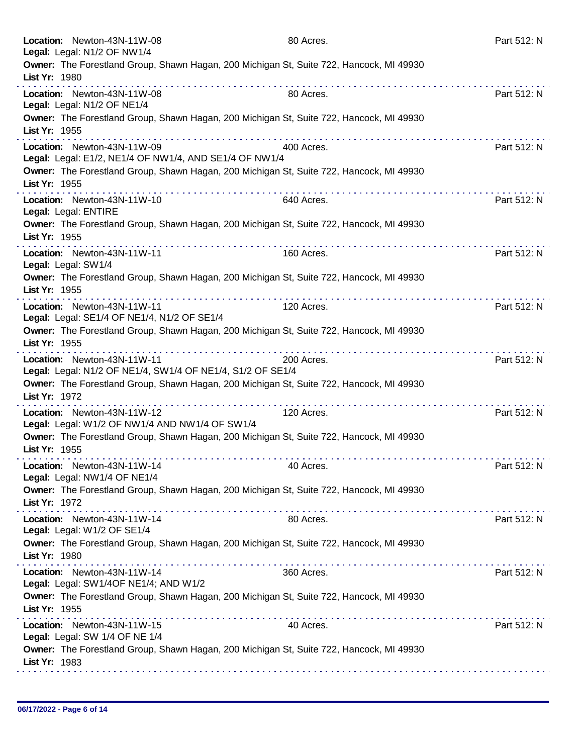| Location: Newton-43N-11W-08<br>Legal: Legal: N1/2 OF NW1/4                                | 80 Acres.                                                                               | Part 512: N      |
|-------------------------------------------------------------------------------------------|-----------------------------------------------------------------------------------------|------------------|
| List Yr: 1980                                                                             | Owner: The Forestland Group, Shawn Hagan, 200 Michigan St, Suite 722, Hancock, MI 49930 |                  |
| Location: Newton-43N-11W-08<br>Legal: Legal: N1/2 OF NE1/4                                | 80 Acres.                                                                               | .<br>Part 512: N |
| List Yr: 1955                                                                             | Owner: The Forestland Group, Shawn Hagan, 200 Michigan St, Suite 722, Hancock, MI 49930 |                  |
| Location: Newton-43N-11W-09<br>Legal: Legal: E1/2, NE1/4 OF NW1/4, AND SE1/4 OF NW1/4     | .<br>400 Acres.                                                                         | Part 512: N      |
| List Yr: 1955                                                                             | Owner: The Forestland Group, Shawn Hagan, 200 Michigan St, Suite 722, Hancock, MI 49930 |                  |
| Location: Newton-43N-11W-10<br>Legal: Legal: ENTIRE                                       | 640 Acres.                                                                              | Part 512: N      |
| List Yr: 1955                                                                             | Owner: The Forestland Group, Shawn Hagan, 200 Michigan St, Suite 722, Hancock, MI 49930 |                  |
| Location: Newton-43N-11W-11<br>Legal: Legal: SW1/4                                        | 160 Acres.                                                                              | Part 512: N      |
| List Yr: 1955                                                                             | Owner: The Forestland Group, Shawn Hagan, 200 Michigan St, Suite 722, Hancock, MI 49930 |                  |
| Location: Newton-43N-11W-11<br>Legal: Legal: SE1/4 OF NE1/4, N1/2 OF SE1/4                | 120 Acres.                                                                              | Part 512: N      |
| List Yr: 1955                                                                             | Owner: The Forestland Group, Shawn Hagan, 200 Michigan St, Suite 722, Hancock, MI 49930 |                  |
| Location: Newton-43N-11W-11<br>Legal: Legal: N1/2 OF NE1/4, SW1/4 OF NE1/4, S1/2 OF SE1/4 | 200 Acres.                                                                              | Part 512: N      |
| List Yr: 1972                                                                             | Owner: The Forestland Group, Shawn Hagan, 200 Michigan St, Suite 722, Hancock, MI 49930 |                  |
| Location: Newton-43N-11W-12<br>Legal: Legal: W1/2 OF NW1/4 AND NW1/4 OF SW1/4             | 120 Acres.                                                                              | .<br>Part 512: N |
| List Yr: 1955                                                                             | Owner: The Forestland Group, Shawn Hagan, 200 Michigan St, Suite 722, Hancock, MI 49930 |                  |
| Location: Newton-43N-11W-14<br>Legal: Legal: NW1/4 OF NE1/4                               | 40 Acres.                                                                               | Part 512: N      |
| List Yr: 1972                                                                             | Owner: The Forestland Group, Shawn Hagan, 200 Michigan St, Suite 722, Hancock, MI 49930 |                  |
| Location: Newton-43N-11W-14<br>Legal: Legal: W1/2 OF SE1/4                                | 80 Acres.                                                                               | Part 512: N      |
| List Yr: 1980                                                                             | Owner: The Forestland Group, Shawn Hagan, 200 Michigan St, Suite 722, Hancock, MI 49930 |                  |
| Location: Newton-43N-11W-14<br>Legal: Legal: SW1/4OF NE1/4; AND W1/2                      | 360 Acres.                                                                              | Part 512: N      |
| List Yr: 1955                                                                             | Owner: The Forestland Group, Shawn Hagan, 200 Michigan St, Suite 722, Hancock, MI 49930 |                  |
| Location: Newton-43N-11W-15<br>Legal: Legal: SW 1/4 OF NE 1/4                             | <u> 2012 - 2022 - 2023 - 2023 - 2023 - 2024 - 20</u><br>40 Acres.                       | Part 512: N      |
| List Yr: 1983                                                                             | Owner: The Forestland Group, Shawn Hagan, 200 Michigan St, Suite 722, Hancock, MI 49930 |                  |
|                                                                                           |                                                                                         |                  |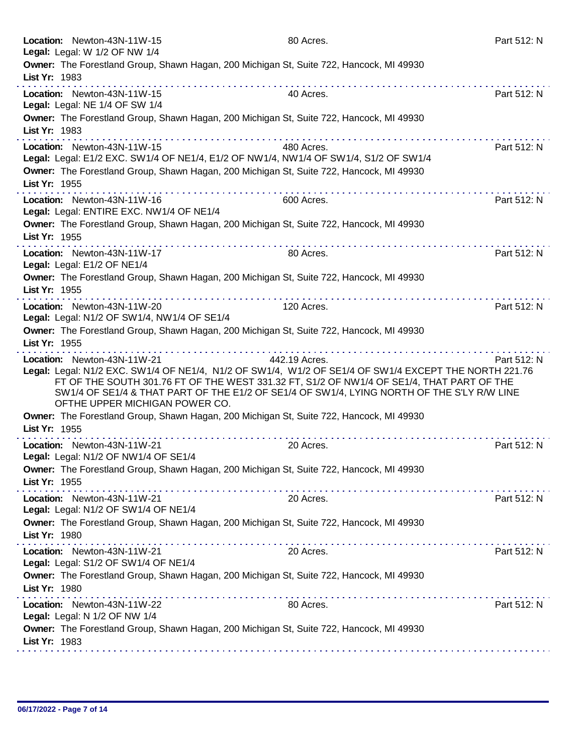| Location: Newton-43N-11W-15<br>Legal: Legal: W 1/2 OF NW 1/4                             | 80 Acres.                                                                                                                                                                                                                                                                                                         | Part 512: N             |
|------------------------------------------------------------------------------------------|-------------------------------------------------------------------------------------------------------------------------------------------------------------------------------------------------------------------------------------------------------------------------------------------------------------------|-------------------------|
| List Yr: 1983                                                                            | Owner: The Forestland Group, Shawn Hagan, 200 Michigan St, Suite 722, Hancock, MI 49930                                                                                                                                                                                                                           |                         |
| Location: Newton-43N-11W-15<br>Legal: Legal: NE 1/4 OF SW 1/4                            | 40 Acres.                                                                                                                                                                                                                                                                                                         | Part 512: N             |
| List Yr: 1983                                                                            | Owner: The Forestland Group, Shawn Hagan, 200 Michigan St, Suite 722, Hancock, MI 49930                                                                                                                                                                                                                           |                         |
| Location: Newton-43N-11W-15                                                              | 480 Acres.<br>Legal: Legal: E1/2 EXC. SW1/4 OF NE1/4, E1/2 OF NW1/4, NW1/4 OF SW1/4, S1/2 OF SW1/4<br>Owner: The Forestland Group, Shawn Hagan, 200 Michigan St, Suite 722, Hancock, MI 49930                                                                                                                     | <u>.</u><br>Part 512: N |
| List Yr: 1955<br>Location: Newton-43N-11W-16<br>Legal: Legal: ENTIRE EXC. NW1/4 OF NE1/4 | 600 Acres.                                                                                                                                                                                                                                                                                                        | Part 512: N             |
| List Yr: 1955                                                                            | Owner: The Forestland Group, Shawn Hagan, 200 Michigan St, Suite 722, Hancock, MI 49930                                                                                                                                                                                                                           |                         |
| Location: Newton-43N-11W-17<br>Legal: Legal: E1/2 OF NE1/4                               | 80 Acres.                                                                                                                                                                                                                                                                                                         | Part 512: N             |
| List Yr: 1955                                                                            | Owner: The Forestland Group, Shawn Hagan, 200 Michigan St, Suite 722, Hancock, MI 49930<br>.                                                                                                                                                                                                                      |                         |
| Location: Newton-43N-11W-20<br>Legal: Legal: N1/2 OF SW1/4, NW1/4 OF SE1/4               | 120 Acres.                                                                                                                                                                                                                                                                                                        | Part 512: N             |
| List Yr: 1955                                                                            | Owner: The Forestland Group, Shawn Hagan, 200 Michigan St, Suite 722, Hancock, MI 49930                                                                                                                                                                                                                           |                         |
| Location: Newton-43N-11W-21<br>OFTHE UPPER MICHIGAN POWER CO.                            | 442.19 Acres.<br>Legal: Legal: N1/2 EXC. SW1/4 OF NE1/4, N1/2 OF SW1/4, W1/2 OF SE1/4 OF SW1/4 EXCEPT THE NORTH 221.76<br>FT OF THE SOUTH 301.76 FT OF THE WEST 331.32 FT, S1/2 OF NW1/4 OF SE1/4, THAT PART OF THE<br>SW1/4 OF SE1/4 & THAT PART OF THE E1/2 OF SE1/4 OF SW1/4, LYING NORTH OF THE S'LY R/W LINE | Part 512: N             |
| List Yr: 1955                                                                            | Owner: The Forestland Group, Shawn Hagan, 200 Michigan St, Suite 722, Hancock, MI 49930                                                                                                                                                                                                                           |                         |
| .<br>Location: Newton-43N-11W-21<br>Legal: Legal: N1/2 OF NW1/4 OF SE1/4                 | 20 Acres.<br>Owner: The Forestland Group, Shawn Hagan, 200 Michigan St, Suite 722, Hancock, MI 49930                                                                                                                                                                                                              | Part 512: N             |
|                                                                                          |                                                                                                                                                                                                                                                                                                                   |                         |
| List Yr: 1955<br>Location: Newton-43N-11W-21                                             | 20 Acres.                                                                                                                                                                                                                                                                                                         | Part 512: N             |
| Legal: Legal: N1/2 OF SW1/4 OF NE1/4<br>List Yr: 1980                                    | Owner: The Forestland Group, Shawn Hagan, 200 Michigan St, Suite 722, Hancock, MI 49930                                                                                                                                                                                                                           |                         |
| Location: Newton-43N-11W-21<br>Legal: Legal: S1/2 OF SW1/4 OF NE1/4                      | 20 Acres.                                                                                                                                                                                                                                                                                                         | Part 512: N             |
| List Yr: 1980                                                                            | Owner: The Forestland Group, Shawn Hagan, 200 Michigan St, Suite 722, Hancock, MI 49930                                                                                                                                                                                                                           |                         |
| Location: Newton-43N-11W-22<br>Legal: Legal: N 1/2 OF NW 1/4                             | 80 Acres.                                                                                                                                                                                                                                                                                                         | Part 512: N             |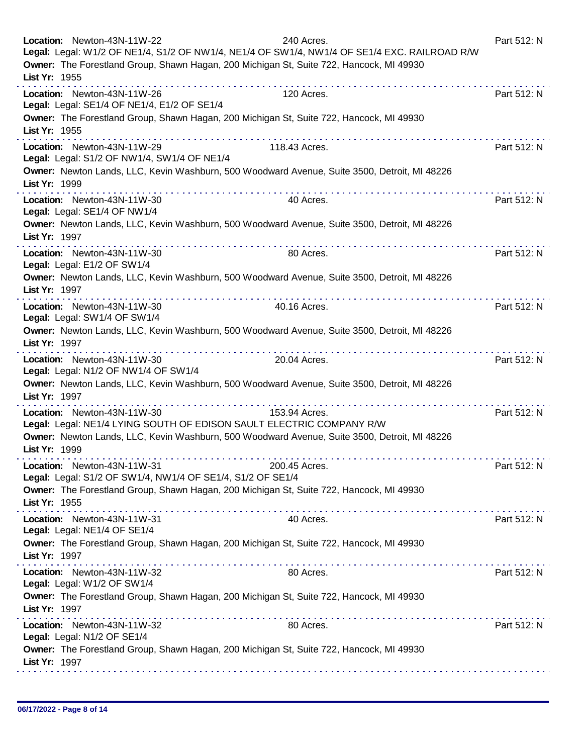| List Yr: 1955 | Location: Newton-43N-11W-22                                                               | 240 Acres.<br>Legal: Legal: W1/2 OF NE1/4, S1/2 OF NW1/4, NE1/4 OF SW1/4, NW1/4 OF SE1/4 EXC. RAILROAD R/W<br>Owner: The Forestland Group, Shawn Hagan, 200 Michigan St, Suite 722, Hancock, MI 49930 | Part 512: N |
|---------------|-------------------------------------------------------------------------------------------|-------------------------------------------------------------------------------------------------------------------------------------------------------------------------------------------------------|-------------|
|               | Location: Newton-43N-11W-26<br>Legal: Legal: SE1/4 OF NE1/4, E1/2 OF SE1/4                | 120 Acres.<br>Owner: The Forestland Group, Shawn Hagan, 200 Michigan St, Suite 722, Hancock, MI 49930                                                                                                 | Part 512: N |
| List Yr: 1955 |                                                                                           | .                                                                                                                                                                                                     |             |
|               | Location: Newton-43N-11W-29<br>Legal: Legal: S1/2 OF NW1/4, SW1/4 OF NE1/4                | 118.43 Acres.                                                                                                                                                                                         | Part 512: N |
| List Yr: 1999 |                                                                                           | Owner: Newton Lands, LLC, Kevin Washburn, 500 Woodward Avenue, Suite 3500, Detroit, MI 48226                                                                                                          |             |
|               | Location: Newton-43N-11W-30<br>Legal: Legal: SE1/4 OF NW1/4                               | 40 Acres.                                                                                                                                                                                             | Part 512: N |
| List Yr: 1997 |                                                                                           | Owner: Newton Lands, LLC, Kevin Washburn, 500 Woodward Avenue, Suite 3500, Detroit, MI 48226                                                                                                          |             |
|               | Location: Newton-43N-11W-30<br>Legal: Legal: E1/2 OF SW1/4                                | 80 Acres.                                                                                                                                                                                             | Part 512: N |
| List Yr: 1997 |                                                                                           | Owner: Newton Lands, LLC, Kevin Washburn, 500 Woodward Avenue, Suite 3500, Detroit, MI 48226<br><u>a serie de la característica de la cara</u>                                                        |             |
|               | Location: Newton-43N-11W-30<br>Legal: Legal: SW1/4 OF SW1/4                               | 40.16 Acres.                                                                                                                                                                                          | Part 512: N |
| List Yr: 1997 |                                                                                           | Owner: Newton Lands, LLC, Kevin Washburn, 500 Woodward Avenue, Suite 3500, Detroit, MI 48226<br>.                                                                                                     |             |
|               | Location: Newton-43N-11W-30<br>Legal: Legal: N1/2 OF NW1/4 OF SW1/4                       | 20.04 Acres.                                                                                                                                                                                          | Part 512: N |
| List Yr: 1997 |                                                                                           | Owner: Newton Lands, LLC, Kevin Washburn, 500 Woodward Avenue, Suite 3500, Detroit, MI 48226<br>.                                                                                                     |             |
|               | Location: Newton-43N-11W-30                                                               | 153.94 Acres.<br>Legal: Legal: NE1/4 LYING SOUTH OF EDISON SAULT ELECTRIC COMPANY R/W                                                                                                                 | Part 512: N |
| List Yr: 1999 |                                                                                           | Owner: Newton Lands, LLC, Kevin Washburn, 500 Woodward Avenue, Suite 3500, Detroit, MI 48226                                                                                                          |             |
|               | Location: Newton-43N-11W-31<br>Legal: Legal: S1/2 OF SW1/4, NW1/4 OF SE1/4, S1/2 OF SE1/4 | 200.45 Acres.                                                                                                                                                                                         | Part 512: N |
| List Yr: 1955 |                                                                                           | Owner: The Forestland Group, Shawn Hagan, 200 Michigan St, Suite 722, Hancock, MI 49930                                                                                                               |             |
|               | Location: Newton-43N-11W-31<br>Legal: Legal: NE1/4 OF SE1/4                               | 40 Acres.                                                                                                                                                                                             | Part 512: N |
| List Yr: 1997 |                                                                                           | Owner: The Forestland Group, Shawn Hagan, 200 Michigan St, Suite 722, Hancock, MI 49930                                                                                                               |             |
|               | Location: Newton-43N-11W-32<br>Legal: Legal: W1/2 OF SW1/4                                | 80 Acres.                                                                                                                                                                                             | Part 512: N |
| List Yr: 1997 |                                                                                           | Owner: The Forestland Group, Shawn Hagan, 200 Michigan St, Suite 722, Hancock, MI 49930                                                                                                               |             |
|               | Location: Newton-43N-11W-32<br>Legal: Legal: N1/2 OF SE1/4                                | 80 Acres.                                                                                                                                                                                             | Part 512: N |
| List Yr: 1997 |                                                                                           | Owner: The Forestland Group, Shawn Hagan, 200 Michigan St, Suite 722, Hancock, MI 49930                                                                                                               |             |
|               |                                                                                           |                                                                                                                                                                                                       |             |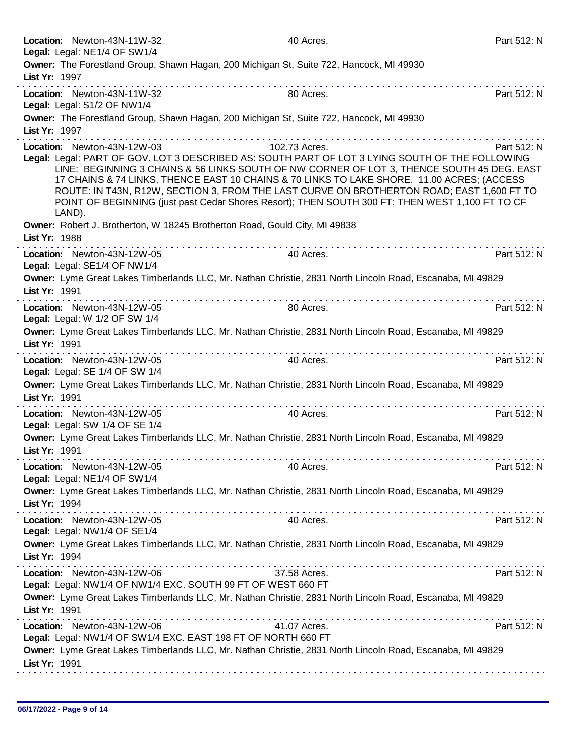| Location: Newton-43N-11W-32                                                                 | 40 Acres.                                                                                                                                                                                     | Part 512: N |
|---------------------------------------------------------------------------------------------|-----------------------------------------------------------------------------------------------------------------------------------------------------------------------------------------------|-------------|
| Legal: Legal: NE1/4 OF SW1/4                                                                |                                                                                                                                                                                               |             |
|                                                                                             | Owner: The Forestland Group, Shawn Hagan, 200 Michigan St, Suite 722, Hancock, MI 49930                                                                                                       |             |
| List Yr: 1997                                                                               |                                                                                                                                                                                               | .           |
| Location: Newton-43N-11W-32                                                                 | 80 Acres.                                                                                                                                                                                     | Part 512: N |
| Legal: Legal: S1/2 OF NW1/4                                                                 |                                                                                                                                                                                               |             |
|                                                                                             | Owner: The Forestland Group, Shawn Hagan, 200 Michigan St, Suite 722, Hancock, MI 49930                                                                                                       |             |
| List Yr: 1997                                                                               |                                                                                                                                                                                               |             |
| Location: Newton-43N-12W-03                                                                 | 102.73 Acres.                                                                                                                                                                                 | Part 512: N |
|                                                                                             | Legal: Legal: PART OF GOV. LOT 3 DESCRIBED AS: SOUTH PART OF LOT 3 LYING SOUTH OF THE FOLLOWING<br>LINE: BEGINNING 3 CHAINS & 56 LINKS SOUTH OF NW CORNER OF LOT 3, THENCE SOUTH 45 DEG. EAST |             |
|                                                                                             | 17 CHAINS & 74 LINKS, THENCE EAST 10 CHAINS & 70 LINKS TO LAKE SHORE. 11.00 ACRES; (ACCESS                                                                                                    |             |
|                                                                                             | ROUTE: IN T43N, R12W, SECTION 3, FROM THE LAST CURVE ON BROTHERTON ROAD; EAST 1,600 FT TO                                                                                                     |             |
|                                                                                             | POINT OF BEGINNING (just past Cedar Shores Resort); THEN SOUTH 300 FT; THEN WEST 1,100 FT TO CF                                                                                               |             |
| LAND).                                                                                      |                                                                                                                                                                                               |             |
| Owner: Robert J. Brotherton, W 18245 Brotherton Road, Gould City, MI 49838<br>List Yr: 1988 |                                                                                                                                                                                               |             |
|                                                                                             |                                                                                                                                                                                               |             |
| Location: Newton-43N-12W-05<br>Legal: Legal: SE1/4 OF NW1/4                                 | 40 Acres.                                                                                                                                                                                     | Part 512: N |
|                                                                                             | Owner: Lyme Great Lakes Timberlands LLC, Mr. Nathan Christie, 2831 North Lincoln Road, Escanaba, MI 49829                                                                                     |             |
| List Yr: 1991                                                                               |                                                                                                                                                                                               |             |
|                                                                                             |                                                                                                                                                                                               |             |
| Location: Newton-43N-12W-05<br>Legal: Legal: W 1/2 OF SW 1/4                                | 80 Acres.                                                                                                                                                                                     | Part 512: N |
|                                                                                             | Owner: Lyme Great Lakes Timberlands LLC, Mr. Nathan Christie, 2831 North Lincoln Road, Escanaba, MI 49829                                                                                     |             |
| List Yr: 1991                                                                               |                                                                                                                                                                                               |             |
| Location: Newton-43N-12W-05                                                                 | .<br>40 Acres.                                                                                                                                                                                | Part 512: N |
| Legal: Legal: SE 1/4 OF SW 1/4                                                              |                                                                                                                                                                                               |             |
|                                                                                             | Owner: Lyme Great Lakes Timberlands LLC, Mr. Nathan Christie, 2831 North Lincoln Road, Escanaba, MI 49829                                                                                     |             |
| List Yr: 1991                                                                               |                                                                                                                                                                                               |             |
| Location: Newton-43N-12W-05                                                                 | 40 Acres.                                                                                                                                                                                     | Part 512: N |
| Legal: Legal: SW 1/4 OF SE 1/4                                                              |                                                                                                                                                                                               |             |
|                                                                                             | Owner: Lyme Great Lakes Timberlands LLC, Mr. Nathan Christie, 2831 North Lincoln Road, Escanaba, MI 49829                                                                                     |             |
| List Yr: 1991                                                                               |                                                                                                                                                                                               |             |
| Location: Newton-43N-12W-05                                                                 | 40 Acres.                                                                                                                                                                                     | Part 512: N |
| Legal: Legal: NE1/4 OF SW1/4                                                                |                                                                                                                                                                                               |             |
|                                                                                             | Owner: Lyme Great Lakes Timberlands LLC, Mr. Nathan Christie, 2831 North Lincoln Road, Escanaba, MI 49829                                                                                     |             |
| List Yr: 1994                                                                               |                                                                                                                                                                                               |             |
| Location: Newton-43N-12W-05                                                                 | 40 Acres.                                                                                                                                                                                     | Part 512: N |
| Legal: Legal: NW1/4 OF SE1/4                                                                |                                                                                                                                                                                               |             |
|                                                                                             | Owner: Lyme Great Lakes Timberlands LLC, Mr. Nathan Christie, 2831 North Lincoln Road, Escanaba, MI 49829                                                                                     |             |
| List Yr: 1994                                                                               |                                                                                                                                                                                               |             |
| Location: Newton-43N-12W-06                                                                 | 37.58 Acres.                                                                                                                                                                                  | Part 512: N |
| Legal: Legal: NW1/4 OF NW1/4 EXC. SOUTH 99 FT OF WEST 660 FT                                |                                                                                                                                                                                               |             |
|                                                                                             | Owner: Lyme Great Lakes Timberlands LLC, Mr. Nathan Christie, 2831 North Lincoln Road, Escanaba, MI 49829                                                                                     |             |
| List Yr: 1991                                                                               |                                                                                                                                                                                               |             |
| Location: Newton-43N-12W-06                                                                 | 41.07 Acres.                                                                                                                                                                                  | Part 512: N |
| Legal: Legal: NW1/4 OF SW1/4 EXC. EAST 198 FT OF NORTH 660 FT                               |                                                                                                                                                                                               |             |
| List Yr: 1991                                                                               | Owner: Lyme Great Lakes Timberlands LLC, Mr. Nathan Christie, 2831 North Lincoln Road, Escanaba, MI 49829                                                                                     |             |
|                                                                                             |                                                                                                                                                                                               |             |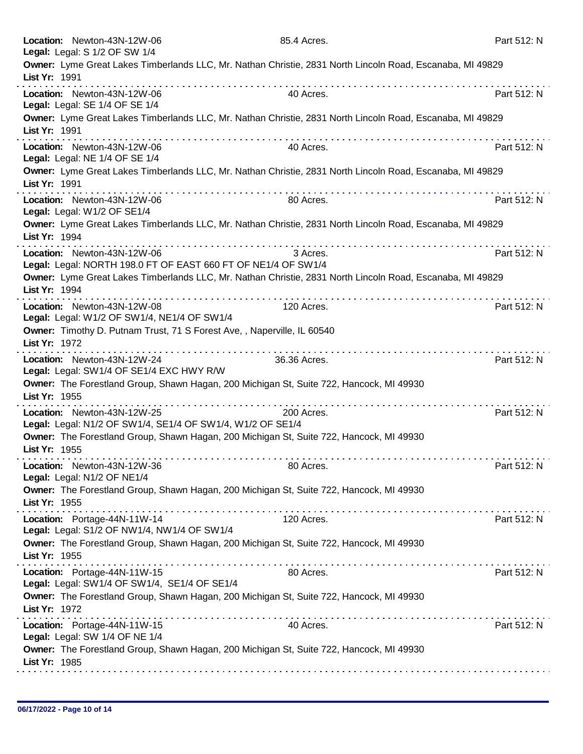|               | Location: Newton-43N-12W-06<br>Legal: Legal: S 1/2 OF SW 1/4                                 | 85.4 Acres.  |                                                                                                           | Part 512: N |
|---------------|----------------------------------------------------------------------------------------------|--------------|-----------------------------------------------------------------------------------------------------------|-------------|
| List Yr: 1991 |                                                                                              |              | Owner: Lyme Great Lakes Timberlands LLC, Mr. Nathan Christie, 2831 North Lincoln Road, Escanaba, MI 49829 |             |
|               | Location: Newton-43N-12W-06<br>Legal: Legal: SE 1/4 OF SE 1/4                                | 40 Acres.    |                                                                                                           | Part 512: N |
| List Yr: 1991 |                                                                                              |              | Owner: Lyme Great Lakes Timberlands LLC, Mr. Nathan Christie, 2831 North Lincoln Road, Escanaba, MI 49829 |             |
|               | Location: Newton-43N-12W-06<br>Legal: Legal: NE 1/4 OF SE 1/4                                | 40 Acres.    |                                                                                                           | Part 512: N |
| List Yr: 1991 |                                                                                              |              | Owner: Lyme Great Lakes Timberlands LLC, Mr. Nathan Christie, 2831 North Lincoln Road, Escanaba, MI 49829 |             |
|               | Location: Newton-43N-12W-06<br>Legal: Legal: W1/2 OF SE1/4                                   | 80 Acres.    |                                                                                                           | Part 512: N |
| List Yr: 1994 |                                                                                              |              | Owner: Lyme Great Lakes Timberlands LLC, Mr. Nathan Christie, 2831 North Lincoln Road, Escanaba, MI 49829 |             |
|               | Location: Newton-43N-12W-06<br>Legal: Legal: NORTH 198.0 FT OF EAST 660 FT OF NE1/4 OF SW1/4 | 3 Acres.     |                                                                                                           | Part 512: N |
| List Yr: 1994 |                                                                                              |              | Owner: Lyme Great Lakes Timberlands LLC, Mr. Nathan Christie, 2831 North Lincoln Road, Escanaba, MI 49829 |             |
|               | Location: Newton-43N-12W-08<br>Legal: Legal: W1/2 OF SW1/4, NE1/4 OF SW1/4                   | 120 Acres.   |                                                                                                           | Part 512: N |
| List Yr: 1972 | Owner: Timothy D. Putnam Trust, 71 S Forest Ave, , Naperville, IL 60540                      |              |                                                                                                           |             |
|               | Location: Newton-43N-12W-24<br>Legal: Legal: SW1/4 OF SE1/4 EXC HWY R/W                      | 36.36 Acres. |                                                                                                           | Part 512: N |
| List Yr: 1955 | Owner: The Forestland Group, Shawn Hagan, 200 Michigan St, Suite 722, Hancock, MI 49930      |              |                                                                                                           |             |
|               | Location: Newton-43N-12W-25<br>Legal: Legal: N1/2 OF SW1/4, SE1/4 OF SW1/4, W1/2 OF SE1/4    | 200 Acres.   |                                                                                                           | Part 512: N |
| List Yr: 1955 | Owner: The Forestland Group, Shawn Hagan, 200 Michigan St, Suite 722, Hancock, MI 49930      |              |                                                                                                           |             |
|               | Location: Newton-43N-12W-36<br>Legal: Legal: N1/2 OF NE1/4                                   | 80 Acres.    |                                                                                                           | Part 512: N |
| List Yr: 1955 | Owner: The Forestland Group, Shawn Hagan, 200 Michigan St, Suite 722, Hancock, MI 49930      |              |                                                                                                           |             |
|               | Location: Portage-44N-11W-14<br>Legal: Legal: S1/2 OF NW1/4, NW1/4 OF SW1/4                  | 120 Acres.   |                                                                                                           | Part 512: N |
| List Yr: 1955 | Owner: The Forestland Group, Shawn Hagan, 200 Michigan St, Suite 722, Hancock, MI 49930      |              |                                                                                                           |             |
|               | Location: Portage-44N-11W-15<br>Legal: Legal: SW1/4 OF SW1/4, SE1/4 OF SE1/4                 | 80 Acres.    |                                                                                                           | Part 512: N |
| List Yr: 1972 | Owner: The Forestland Group, Shawn Hagan, 200 Michigan St, Suite 722, Hancock, MI 49930      |              |                                                                                                           |             |
|               | Location: Portage-44N-11W-15<br>Legal: Legal: SW 1/4 OF NE 1/4                               | 40 Acres.    |                                                                                                           | Part 512: N |
| List Yr: 1985 | Owner: The Forestland Group, Shawn Hagan, 200 Michigan St, Suite 722, Hancock, MI 49930      |              |                                                                                                           |             |
|               |                                                                                              |              |                                                                                                           |             |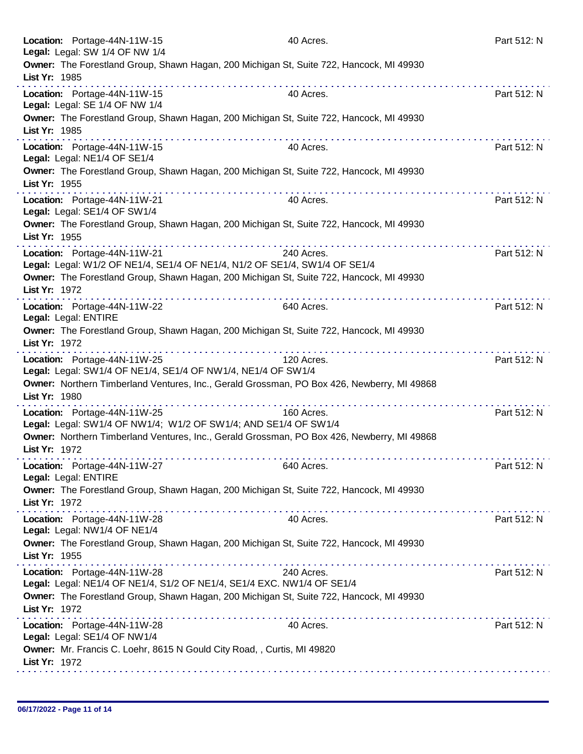|               | Location: Portage-44N-11W-15<br>Legal: Legal: SW 1/4 OF NW 1/4                                             | 40 Acres.                                                  | Part 512: N |
|---------------|------------------------------------------------------------------------------------------------------------|------------------------------------------------------------|-------------|
| List Yr: 1985 | Owner: The Forestland Group, Shawn Hagan, 200 Michigan St, Suite 722, Hancock, MI 49930                    | .                                                          |             |
|               | Location: Portage-44N-11W-15<br>Legal: Legal: SE 1/4 OF NW 1/4                                             | 40 Acres.                                                  | Part 512: N |
| List Yr: 1985 | Owner: The Forestland Group, Shawn Hagan, 200 Michigan St, Suite 722, Hancock, MI 49930                    |                                                            |             |
|               | <u>a sera a sera a sera a sera a se</u><br>Location: Portage-44N-11W-15<br>Legal: Legal: NE1/4 OF SE1/4    | a provincia de la caractería de la caractería<br>40 Acres. | Part 512: N |
| List Yr: 1955 | Owner: The Forestland Group, Shawn Hagan, 200 Michigan St, Suite 722, Hancock, MI 49930                    |                                                            |             |
|               | Location: Portage-44N-11W-21<br>Legal: Legal: SE1/4 OF SW1/4                                               | 40 Acres.                                                  | Part 512: N |
| List Yr: 1955 | Owner: The Forestland Group, Shawn Hagan, 200 Michigan St, Suite 722, Hancock, MI 49930                    |                                                            |             |
|               | Location: Portage-44N-11W-21<br>Legal: Legal: W1/2 OF NE1/4, SE1/4 OF NE1/4, N1/2 OF SE1/4, SW1/4 OF SE1/4 | 240 Acres.                                                 | Part 512: N |
| List Yr: 1972 | Owner: The Forestland Group, Shawn Hagan, 200 Michigan St, Suite 722, Hancock, MI 49930<br>.               | .                                                          |             |
|               | Location: Portage-44N-11W-22<br>Legal: Legal: ENTIRE                                                       | 640 Acres.                                                 | Part 512: N |
| List Yr: 1972 | Owner: The Forestland Group, Shawn Hagan, 200 Michigan St, Suite 722, Hancock, MI 49930                    |                                                            |             |
|               | Location: Portage-44N-11W-25<br>Legal: Legal: SW1/4 OF NE1/4, SE1/4 OF NW1/4, NE1/4 OF SW1/4               | 120 Acres.                                                 | Part 512: N |
| List Yr: 1980 | Owner: Northern Timberland Ventures, Inc., Gerald Grossman, PO Box 426, Newberry, MI 49868                 |                                                            |             |
|               | Location: Portage-44N-11W-25<br>Legal: Legal: SW1/4 OF NW1/4; W1/2 OF SW1/4; AND SE1/4 OF SW1/4            | 160 Acres.                                                 | Part 512: N |
| List Yr: 1972 | Owner: Northern Timberland Ventures, Inc., Gerald Grossman, PO Box 426, Newberry, MI 49868                 |                                                            |             |
|               | Location: Portage-44N-11W-27<br>Legal: Legal: ENTIRE                                                       | 640 Acres.                                                 | Part 512: N |
| List Yr: 1972 | Owner: The Forestland Group, Shawn Hagan, 200 Michigan St, Suite 722, Hancock, MI 49930                    |                                                            |             |
|               | Location: Portage-44N-11W-28<br>Legal: Legal: NW1/4 OF NE1/4                                               | 40 Acres.                                                  | Part 512: N |
| List Yr: 1955 | Owner: The Forestland Group, Shawn Hagan, 200 Michigan St, Suite 722, Hancock, MI 49930                    |                                                            |             |
|               | Location: Portage-44N-11W-28<br>Legal: Legal: NE1/4 OF NE1/4, S1/2 OF NE1/4, SE1/4 EXC. NW1/4 OF SE1/4     | 240 Acres.                                                 | Part 512: N |
| List Yr: 1972 | Owner: The Forestland Group, Shawn Hagan, 200 Michigan St, Suite 722, Hancock, MI 49930                    |                                                            |             |
|               | Location: Portage-44N-11W-28<br>Legal: Legal: SE1/4 OF NW1/4                                               | 40 Acres.                                                  | Part 512: N |
| List Yr: 1972 | Owner: Mr. Francis C. Loehr, 8615 N Gould City Road, , Curtis, MI 49820                                    |                                                            |             |
|               |                                                                                                            |                                                            |             |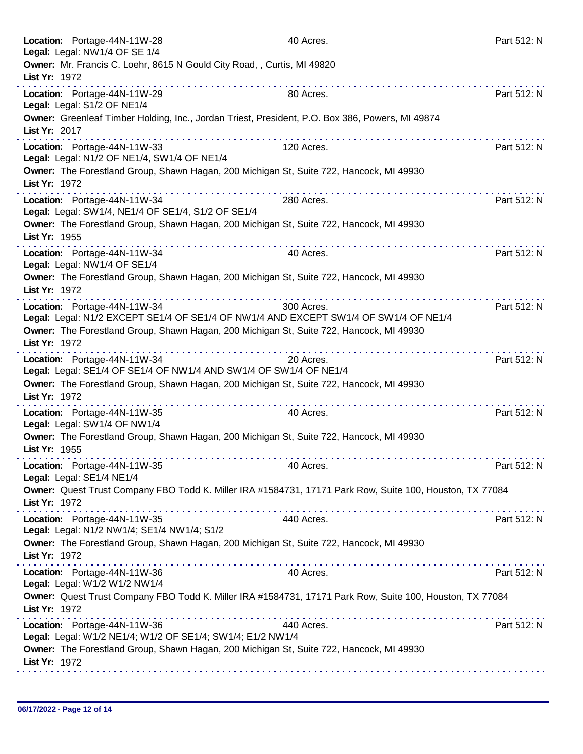| Owner: Mr. Francis C. Loehr, 8615 N Gould City Road, , Curtis, MI 49820<br>List Yr: 1972<br>.<br>Location: Portage-44N-11W-29<br>80 Acres.<br>Part 512: N<br>Legal: Legal: S1/2 OF NE1/4<br>Owner: Greenleaf Timber Holding, Inc., Jordan Triest, President, P.O. Box 386, Powers, MI 49874<br>List Yr: 2017<br><u>a sua sua sua sua sua sua su</u><br>Location: Portage-44N-11W-33<br>120 Acres.<br>Part 512: N<br>Legal: Legal: N1/2 OF NE1/4, SW1/4 OF NE1/4<br>Owner: The Forestland Group, Shawn Hagan, 200 Michigan St, Suite 722, Hancock, MI 49930<br>List Yr: 1972<br>Location: Portage-44N-11W-34<br>Part 512: N<br>280 Acres.<br>Legal: Legal: SW1/4, NE1/4 OF SE1/4, S1/2 OF SE1/4<br>Owner: The Forestland Group, Shawn Hagan, 200 Michigan St, Suite 722, Hancock, MI 49930<br>List Yr: 1955<br>Location: Portage-44N-11W-34<br>40 Acres.<br>Part 512: N<br>Legal: Legal: NW1/4 OF SE1/4<br>Owner: The Forestland Group, Shawn Hagan, 200 Michigan St, Suite 722, Hancock, MI 49930<br>List Yr: 1972<br>Location: Portage-44N-11W-34<br>300 Acres.<br>Part 512: N<br>Legal: Legal: N1/2 EXCEPT SE1/4 OF SE1/4 OF NW1/4 AND EXCEPT SW1/4 OF SW1/4 OF NE1/4<br>Owner: The Forestland Group, Shawn Hagan, 200 Michigan St, Suite 722, Hancock, MI 49930<br>List Yr: 1972<br>.<br>Location: Portage-44N-11W-34<br>Part 512: N<br>20 Acres.<br>Legal: Legal: SE1/4 OF SE1/4 OF NW1/4 AND SW1/4 OF SW1/4 OF NE1/4<br>Owner: The Forestland Group, Shawn Hagan, 200 Michigan St, Suite 722, Hancock, MI 49930<br>List Yr: 1972<br>Location: Portage-44N-11W-35<br>40 Acres.<br>Part 512: N<br>Legal: Legal: SW1/4 OF NW1/4 |
|-----------------------------------------------------------------------------------------------------------------------------------------------------------------------------------------------------------------------------------------------------------------------------------------------------------------------------------------------------------------------------------------------------------------------------------------------------------------------------------------------------------------------------------------------------------------------------------------------------------------------------------------------------------------------------------------------------------------------------------------------------------------------------------------------------------------------------------------------------------------------------------------------------------------------------------------------------------------------------------------------------------------------------------------------------------------------------------------------------------------------------------------------------------------------------------------------------------------------------------------------------------------------------------------------------------------------------------------------------------------------------------------------------------------------------------------------------------------------------------------------------------------------------------------------------------------------------------------------------------------------------------|
|                                                                                                                                                                                                                                                                                                                                                                                                                                                                                                                                                                                                                                                                                                                                                                                                                                                                                                                                                                                                                                                                                                                                                                                                                                                                                                                                                                                                                                                                                                                                                                                                                                   |
|                                                                                                                                                                                                                                                                                                                                                                                                                                                                                                                                                                                                                                                                                                                                                                                                                                                                                                                                                                                                                                                                                                                                                                                                                                                                                                                                                                                                                                                                                                                                                                                                                                   |
|                                                                                                                                                                                                                                                                                                                                                                                                                                                                                                                                                                                                                                                                                                                                                                                                                                                                                                                                                                                                                                                                                                                                                                                                                                                                                                                                                                                                                                                                                                                                                                                                                                   |
|                                                                                                                                                                                                                                                                                                                                                                                                                                                                                                                                                                                                                                                                                                                                                                                                                                                                                                                                                                                                                                                                                                                                                                                                                                                                                                                                                                                                                                                                                                                                                                                                                                   |
|                                                                                                                                                                                                                                                                                                                                                                                                                                                                                                                                                                                                                                                                                                                                                                                                                                                                                                                                                                                                                                                                                                                                                                                                                                                                                                                                                                                                                                                                                                                                                                                                                                   |
|                                                                                                                                                                                                                                                                                                                                                                                                                                                                                                                                                                                                                                                                                                                                                                                                                                                                                                                                                                                                                                                                                                                                                                                                                                                                                                                                                                                                                                                                                                                                                                                                                                   |
|                                                                                                                                                                                                                                                                                                                                                                                                                                                                                                                                                                                                                                                                                                                                                                                                                                                                                                                                                                                                                                                                                                                                                                                                                                                                                                                                                                                                                                                                                                                                                                                                                                   |
|                                                                                                                                                                                                                                                                                                                                                                                                                                                                                                                                                                                                                                                                                                                                                                                                                                                                                                                                                                                                                                                                                                                                                                                                                                                                                                                                                                                                                                                                                                                                                                                                                                   |
|                                                                                                                                                                                                                                                                                                                                                                                                                                                                                                                                                                                                                                                                                                                                                                                                                                                                                                                                                                                                                                                                                                                                                                                                                                                                                                                                                                                                                                                                                                                                                                                                                                   |
|                                                                                                                                                                                                                                                                                                                                                                                                                                                                                                                                                                                                                                                                                                                                                                                                                                                                                                                                                                                                                                                                                                                                                                                                                                                                                                                                                                                                                                                                                                                                                                                                                                   |
|                                                                                                                                                                                                                                                                                                                                                                                                                                                                                                                                                                                                                                                                                                                                                                                                                                                                                                                                                                                                                                                                                                                                                                                                                                                                                                                                                                                                                                                                                                                                                                                                                                   |
|                                                                                                                                                                                                                                                                                                                                                                                                                                                                                                                                                                                                                                                                                                                                                                                                                                                                                                                                                                                                                                                                                                                                                                                                                                                                                                                                                                                                                                                                                                                                                                                                                                   |
|                                                                                                                                                                                                                                                                                                                                                                                                                                                                                                                                                                                                                                                                                                                                                                                                                                                                                                                                                                                                                                                                                                                                                                                                                                                                                                                                                                                                                                                                                                                                                                                                                                   |
|                                                                                                                                                                                                                                                                                                                                                                                                                                                                                                                                                                                                                                                                                                                                                                                                                                                                                                                                                                                                                                                                                                                                                                                                                                                                                                                                                                                                                                                                                                                                                                                                                                   |
| Owner: The Forestland Group, Shawn Hagan, 200 Michigan St, Suite 722, Hancock, MI 49930<br>List Yr: 1955                                                                                                                                                                                                                                                                                                                                                                                                                                                                                                                                                                                                                                                                                                                                                                                                                                                                                                                                                                                                                                                                                                                                                                                                                                                                                                                                                                                                                                                                                                                          |
| Location: Portage-44N-11W-35<br>40 Acres.<br>Part 512: N<br>Legal: Legal: SE1/4 NE1/4                                                                                                                                                                                                                                                                                                                                                                                                                                                                                                                                                                                                                                                                                                                                                                                                                                                                                                                                                                                                                                                                                                                                                                                                                                                                                                                                                                                                                                                                                                                                             |
| Owner: Quest Trust Company FBO Todd K. Miller IRA #1584731, 17171 Park Row, Suite 100, Houston, TX 77084<br>List Yr: 1972                                                                                                                                                                                                                                                                                                                                                                                                                                                                                                                                                                                                                                                                                                                                                                                                                                                                                                                                                                                                                                                                                                                                                                                                                                                                                                                                                                                                                                                                                                         |
| Location: Portage-44N-11W-35<br>440 Acres.<br>Part 512: N<br>Legal: Legal: N1/2 NW1/4; SE1/4 NW1/4; S1/2                                                                                                                                                                                                                                                                                                                                                                                                                                                                                                                                                                                                                                                                                                                                                                                                                                                                                                                                                                                                                                                                                                                                                                                                                                                                                                                                                                                                                                                                                                                          |
| Owner: The Forestland Group, Shawn Hagan, 200 Michigan St, Suite 722, Hancock, MI 49930<br>List Yr: 1972                                                                                                                                                                                                                                                                                                                                                                                                                                                                                                                                                                                                                                                                                                                                                                                                                                                                                                                                                                                                                                                                                                                                                                                                                                                                                                                                                                                                                                                                                                                          |
| Location: Portage-44N-11W-36<br>Part 512: N<br>40 Acres.<br>Legal: Legal: W1/2 W1/2 NW1/4                                                                                                                                                                                                                                                                                                                                                                                                                                                                                                                                                                                                                                                                                                                                                                                                                                                                                                                                                                                                                                                                                                                                                                                                                                                                                                                                                                                                                                                                                                                                         |
| Owner: Quest Trust Company FBO Todd K. Miller IRA #1584731, 17171 Park Row, Suite 100, Houston, TX 77084<br>List Yr: 1972                                                                                                                                                                                                                                                                                                                                                                                                                                                                                                                                                                                                                                                                                                                                                                                                                                                                                                                                                                                                                                                                                                                                                                                                                                                                                                                                                                                                                                                                                                         |
| Part 512: N<br>Location: Portage-44N-11W-36<br>440 Acres.<br>Legal: Legal: W1/2 NE1/4; W1/2 OF SE1/4; SW1/4; E1/2 NW1/4                                                                                                                                                                                                                                                                                                                                                                                                                                                                                                                                                                                                                                                                                                                                                                                                                                                                                                                                                                                                                                                                                                                                                                                                                                                                                                                                                                                                                                                                                                           |
| Owner: The Forestland Group, Shawn Hagan, 200 Michigan St, Suite 722, Hancock, MI 49930<br>List Yr: 1972                                                                                                                                                                                                                                                                                                                                                                                                                                                                                                                                                                                                                                                                                                                                                                                                                                                                                                                                                                                                                                                                                                                                                                                                                                                                                                                                                                                                                                                                                                                          |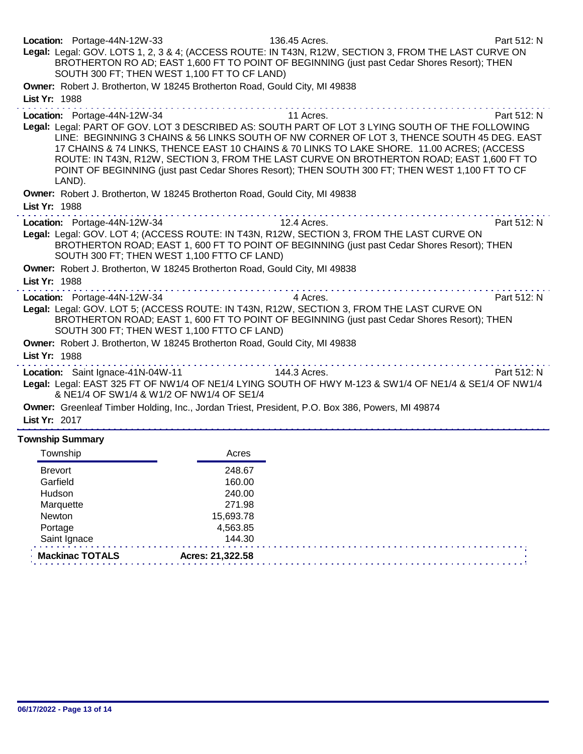| Location: Portage-44N-12W-33<br>Legal: Legal: GOV. LOTS 1, 2, 3 & 4; (ACCESS ROUTE: IN T43N, R12W, SECTION 3, FROM THE LAST CURVE ON                     | BROTHERTON RO AD; EAST 1,600 FT TO POINT OF BEGINNING (just past Cedar Shores Resort); THEN<br>SOUTH 300 FT; THEN WEST 1,100 FT TO CF LAND)                                                                                                                                                                                                                                              | 136.45 Acres. | Part 512: N |
|----------------------------------------------------------------------------------------------------------------------------------------------------------|------------------------------------------------------------------------------------------------------------------------------------------------------------------------------------------------------------------------------------------------------------------------------------------------------------------------------------------------------------------------------------------|---------------|-------------|
| Owner: Robert J. Brotherton, W 18245 Brotherton Road, Gould City, MI 49838<br>List Yr: 1988                                                              |                                                                                                                                                                                                                                                                                                                                                                                          |               |             |
| Location: Portage-44N-12W-34<br>Legal: Legal: PART OF GOV. LOT 3 DESCRIBED AS: SOUTH PART OF LOT 3 LYING SOUTH OF THE FOLLOWING<br>LAND).                | LINE: BEGINNING 3 CHAINS & 56 LINKS SOUTH OF NW CORNER OF LOT 3, THENCE SOUTH 45 DEG. EAST<br>17 CHAINS & 74 LINKS, THENCE EAST 10 CHAINS & 70 LINKS TO LAKE SHORE. 11.00 ACRES; (ACCESS<br>ROUTE: IN T43N, R12W, SECTION 3, FROM THE LAST CURVE ON BROTHERTON ROAD; EAST 1,600 FT TO<br>POINT OF BEGINNING (just past Cedar Shores Resort); THEN SOUTH 300 FT; THEN WEST 1,100 FT TO CF | 11 Acres.     | Part 512: N |
| Owner: Robert J. Brotherton, W 18245 Brotherton Road, Gould City, MI 49838<br>List Yr: 1988                                                              |                                                                                                                                                                                                                                                                                                                                                                                          |               |             |
| Location: Portage-44N-12W-34<br>Legal: Legal: GOV. LOT 4; (ACCESS ROUTE: IN T43N, R12W, SECTION 3, FROM THE LAST CURVE ON                                | BROTHERTON ROAD; EAST 1, 600 FT TO POINT OF BEGINNING (just past Cedar Shores Resort); THEN<br>SOUTH 300 FT; THEN WEST 1,100 FTTO CF LAND)                                                                                                                                                                                                                                               | 12.4 Acres.   | Part 512: N |
| Owner: Robert J. Brotherton, W 18245 Brotherton Road, Gould City, MI 49838<br>List Yr: 1988                                                              |                                                                                                                                                                                                                                                                                                                                                                                          |               |             |
| Location: Portage-44N-12W-34<br>Legal: Legal: GOV. LOT 5; (ACCESS ROUTE: IN T43N, R12W, SECTION 3, FROM THE LAST CURVE ON                                | BROTHERTON ROAD; EAST 1, 600 FT TO POINT OF BEGINNING (just past Cedar Shores Resort); THEN<br>SOUTH 300 FT; THEN WEST 1,100 FTTO CF LAND)                                                                                                                                                                                                                                               | 4 Acres.      | Part 512: N |
| Owner: Robert J. Brotherton, W 18245 Brotherton Road, Gould City, MI 49838<br>List Yr: 1988                                                              |                                                                                                                                                                                                                                                                                                                                                                                          |               |             |
| Location: Saint Ignace-41N-04W-11 144.3 Acres.<br>Legal: Legal: EAST 325 FT OF NW1/4 OF NE1/4 LYING SOUTH OF HWY M-123 & SW1/4 OF NE1/4 & SE1/4 OF NW1/4 | & NE1/4 OF SW1/4 & W1/2 OF NW1/4 OF SE1/4                                                                                                                                                                                                                                                                                                                                                |               | Part 512: N |
| Owner: Greenleaf Timber Holding, Inc., Jordan Triest, President, P.O. Box 386, Powers, MI 49874<br>List Yr: 2017                                         |                                                                                                                                                                                                                                                                                                                                                                                          |               |             |
| <b>Township Summary</b>                                                                                                                                  |                                                                                                                                                                                                                                                                                                                                                                                          |               |             |
| Township                                                                                                                                                 | Acres                                                                                                                                                                                                                                                                                                                                                                                    |               |             |

| Township        | Acres            |  |
|-----------------|------------------|--|
| <b>Brevort</b>  | 248.67           |  |
| Garfield        | 160.00           |  |
| Hudson          | 240.00           |  |
| Marquette       | 271.98           |  |
| Newton          | 15,693.78        |  |
| Portage         | 4,563.85         |  |
| Saint Ignace    | 144.30           |  |
| Mackinac TOTALS | Acres: 21,322.58 |  |